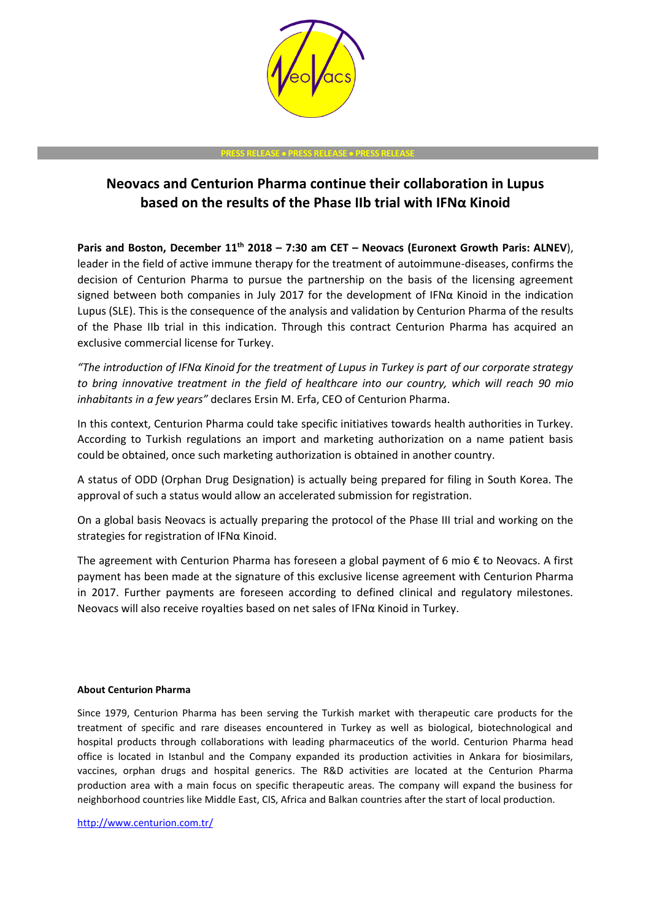

## **PRESS RELEASE** • **PRESS RELEASE** • **PRESS RELEASE**

## **Neovacs and Centurion Pharma continue their collaboration in Lupus based on the results of the Phase IIb trial with IFNα Kinoid**

**Paris and Boston, December 11th 2018 – 7:30 am CET – Neovacs (Euronext Growth Paris: ALNEV**), leader in the field of active immune therapy for the treatment of autoimmune-diseases, confirms the decision of Centurion Pharma to pursue the partnership on the basis of the licensing agreement signed between both companies in July 2017 for the development of IFNα Kinoid in the indication Lupus (SLE). This is the consequence of the analysis and validation by Centurion Pharma of the results of the Phase IIb trial in this indication. Through this contract Centurion Pharma has acquired an exclusive commercial license for Turkey.

*"The introduction of IFNα Kinoid for the treatment of Lupus in Turkey is part of our corporate strategy to bring innovative treatment in the field of healthcare into our country, which will reach 90 mio inhabitants in a few years"* declares Ersin M. Erfa, CEO of Centurion Pharma.

In this context, Centurion Pharma could take specific initiatives towards health authorities in Turkey. According to Turkish regulations an import and marketing authorization on a name patient basis could be obtained, once such marketing authorization is obtained in another country.

A status of ODD (Orphan Drug Designation) is actually being prepared for filing in South Korea. The approval of such a status would allow an accelerated submission for registration.

On a global basis Neovacs is actually preparing the protocol of the Phase III trial and working on the strategies for registration of IFNα Kinoid.

The agreement with Centurion Pharma has foreseen a global payment of 6 mio € to Neovacs. A first payment has been made at the signature of this exclusive license agreement with Centurion Pharma in 2017. Further payments are foreseen according to defined clinical and regulatory milestones. Neovacs will also receive royalties based on net sales of IFNα Kinoid in Turkey.

## **About Centurion Pharma**

Since 1979, Centurion Pharma has been serving the Turkish market with therapeutic care products for the treatment of specific and rare diseases encountered in Turkey as well as biological, biotechnological and hospital products through collaborations with leading pharmaceutics of the world. Centurion Pharma head office is located in Istanbul and the Company expanded its production activities in Ankara for biosimilars, vaccines, orphan drugs and hospital generics. The R&D activities are located at the Centurion Pharma production area with a main focus on specific therapeutic areas. The company will expand the business for neighborhood countries like Middle East, CIS, Africa and Balkan countries after the start of local production.

<http://www.centurion.com.tr/>